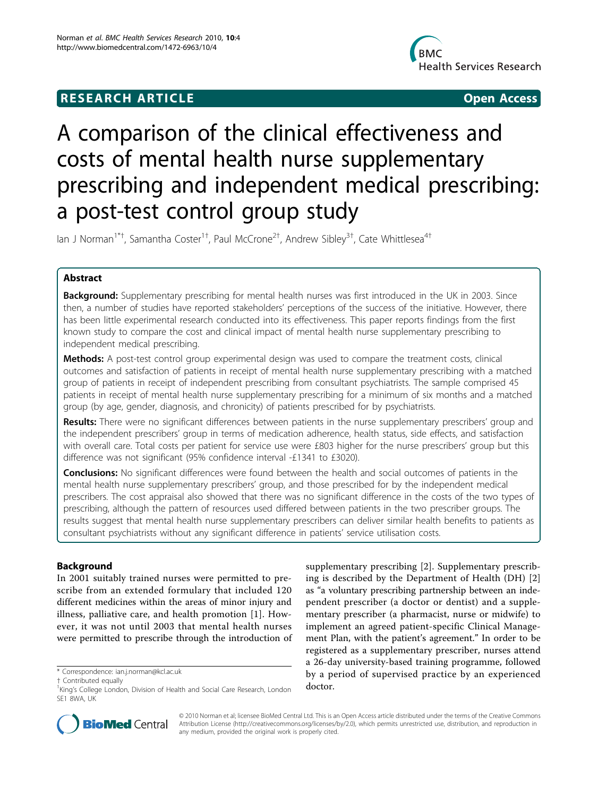# **RESEARCH ARTICLE Example 2018 CONSIDERING ACCESS**



# A comparison of the clinical effectiveness and costs of mental health nurse supplementary prescribing and independent medical prescribing: a post-test control group study

lan J Norman<sup>1\*†</sup>, Samantha Coster<sup>1†</sup>, Paul McCrone<sup>2†</sup>, Andrew Sibley<sup>3†</sup>, Cate Whittlesea<sup>4†</sup>

# Abstract

**Background:** Supplementary prescribing for mental health nurses was first introduced in the UK in 2003. Since then, a number of studies have reported stakeholders' perceptions of the success of the initiative. However, there has been little experimental research conducted into its effectiveness. This paper reports findings from the first known study to compare the cost and clinical impact of mental health nurse supplementary prescribing to independent medical prescribing.

Methods: A post-test control group experimental design was used to compare the treatment costs, clinical outcomes and satisfaction of patients in receipt of mental health nurse supplementary prescribing with a matched group of patients in receipt of independent prescribing from consultant psychiatrists. The sample comprised 45 patients in receipt of mental health nurse supplementary prescribing for a minimum of six months and a matched group (by age, gender, diagnosis, and chronicity) of patients prescribed for by psychiatrists.

Results: There were no significant differences between patients in the nurse supplementary prescribers' group and the independent prescribers' group in terms of medication adherence, health status, side effects, and satisfaction with overall care. Total costs per patient for service use were £803 higher for the nurse prescribers' group but this difference was not significant (95% confidence interval -£1341 to £3020).

**Conclusions:** No significant differences were found between the health and social outcomes of patients in the mental health nurse supplementary prescribers' group, and those prescribed for by the independent medical prescribers. The cost appraisal also showed that there was no significant difference in the costs of the two types of prescribing, although the pattern of resources used differed between patients in the two prescriber groups. The results suggest that mental health nurse supplementary prescribers can deliver similar health benefits to patients as consultant psychiatrists without any significant difference in patients' service utilisation costs.

# Background

In 2001 suitably trained nurses were permitted to prescribe from an extended formulary that included 120 different medicines within the areas of minor injury and illness, palliative care, and health promotion [[1\]](#page-8-0). However, it was not until 2003 that mental health nurses were permitted to prescribe through the introduction of

† Contributed equally <sup>1</sup>

supplementary prescribing [\[2](#page-8-0)]. Supplementary prescribing is described by the Department of Health (DH) [\[2](#page-8-0)] as "a voluntary prescribing partnership between an independent prescriber (a doctor or dentist) and a supplementary prescriber (a pharmacist, nurse or midwife) to implement an agreed patient-specific Clinical Management Plan, with the patient's agreement." In order to be registered as a supplementary prescriber, nurses attend a 26-day university-based training programme, followed by a period of supervised practice by an experienced doctor.



© 2010 Norman et al; licensee BioMed Central Ltd. This is an Open Access article distributed under the terms of the Creative Commons Attribution License (http://creativecommons.org/licenses/by/2.0), which permits unrestricted use, distribution, and reproduction in any medium, provided the original work is properly cited.

<sup>\*</sup> Correspondence: ian.j.norman@kcl.ac.uk

<sup>&</sup>lt;sup>1</sup>King's College London, Division of Health and Social Care Research, London SE1 8WA, UK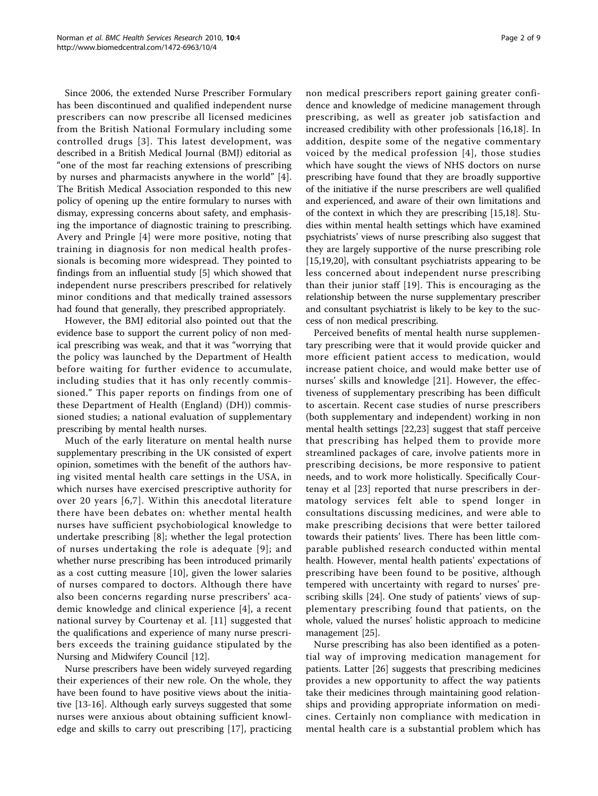Since 2006, the extended Nurse Prescriber Formulary has been discontinued and qualified independent nurse prescribers can now prescribe all licensed medicines from the British National Formulary including some controlled drugs [[3\]](#page-8-0). This latest development, was described in a British Medical Journal (BMJ) editorial as "one of the most far reaching extensions of prescribing by nurses and pharmacists anywhere in the world" [[4](#page-8-0)]. The British Medical Association responded to this new policy of opening up the entire formulary to nurses with dismay, expressing concerns about safety, and emphasising the importance of diagnostic training to prescribing. Avery and Pringle [[4\]](#page-8-0) were more positive, noting that training in diagnosis for non medical health professionals is becoming more widespread. They pointed to findings from an influential study [[5](#page-8-0)] which showed that independent nurse prescribers prescribed for relatively minor conditions and that medically trained assessors had found that generally, they prescribed appropriately.

However, the BMJ editorial also pointed out that the evidence base to support the current policy of non medical prescribing was weak, and that it was "worrying that the policy was launched by the Department of Health before waiting for further evidence to accumulate, including studies that it has only recently commissioned." This paper reports on findings from one of these Department of Health (England) (DH)) commissioned studies; a national evaluation of supplementary prescribing by mental health nurses.

Much of the early literature on mental health nurse supplementary prescribing in the UK consisted of expert opinion, sometimes with the benefit of the authors having visited mental health care settings in the USA, in which nurses have exercised prescriptive authority for over 20 years [[6,7](#page-8-0)]. Within this anecdotal literature there have been debates on: whether mental health nurses have sufficient psychobiological knowledge to undertake prescribing [[8](#page-8-0)]; whether the legal protection of nurses undertaking the role is adequate [[9](#page-8-0)]; and whether nurse prescribing has been introduced primarily as a cost cutting measure [[10\]](#page-8-0), given the lower salaries of nurses compared to doctors. Although there have also been concerns regarding nurse prescribers' academic knowledge and clinical experience [\[4\]](#page-8-0), a recent national survey by Courtenay et al. [[11](#page-8-0)] suggested that the qualifications and experience of many nurse prescribers exceeds the training guidance stipulated by the Nursing and Midwifery Council [[12\]](#page-8-0).

Nurse prescribers have been widely surveyed regarding their experiences of their new role. On the whole, they have been found to have positive views about the initiative [[13-16\]](#page-8-0). Although early surveys suggested that some nurses were anxious about obtaining sufficient knowledge and skills to carry out prescribing [[17\]](#page-8-0), practicing non medical prescribers report gaining greater confidence and knowledge of medicine management through prescribing, as well as greater job satisfaction and increased credibility with other professionals [[16,18](#page-8-0)]. In addition, despite some of the negative commentary voiced by the medical profession [[4](#page-8-0)], those studies which have sought the views of NHS doctors on nurse prescribing have found that they are broadly supportive of the initiative if the nurse prescribers are well qualified and experienced, and aware of their own limitations and of the context in which they are prescribing [\[15,18](#page-8-0)]. Studies within mental health settings which have examined psychiatrists' views of nurse prescribing also suggest that they are largely supportive of the nurse prescribing role [[15,19,20](#page-8-0)], with consultant psychiatrists appearing to be less concerned about independent nurse prescribing than their junior staff [[19](#page-8-0)]. This is encouraging as the relationship between the nurse supplementary prescriber and consultant psychiatrist is likely to be key to the success of non medical prescribing.

Perceived benefits of mental health nurse supplementary prescribing were that it would provide quicker and more efficient patient access to medication, would increase patient choice, and would make better use of nurses' skills and knowledge [[21\]](#page-8-0). However, the effectiveness of supplementary prescribing has been difficult to ascertain. Recent case studies of nurse prescribers (both supplementary and independent) working in non mental health settings [[22,23\]](#page-8-0) suggest that staff perceive that prescribing has helped them to provide more streamlined packages of care, involve patients more in prescribing decisions, be more responsive to patient needs, and to work more holistically. Specifically Courtenay et al [[23](#page-8-0)] reported that nurse prescribers in dermatology services felt able to spend longer in consultations discussing medicines, and were able to make prescribing decisions that were better tailored towards their patients' lives. There has been little comparable published research conducted within mental health. However, mental health patients' expectations of prescribing have been found to be positive, although tempered with uncertainty with regard to nurses' prescribing skills [\[24](#page-8-0)]. One study of patients' views of supplementary prescribing found that patients, on the whole, valued the nurses' holistic approach to medicine management [[25](#page-8-0)].

Nurse prescribing has also been identified as a potential way of improving medication management for patients. Latter [\[26](#page-8-0)] suggests that prescribing medicines provides a new opportunity to affect the way patients take their medicines through maintaining good relationships and providing appropriate information on medicines. Certainly non compliance with medication in mental health care is a substantial problem which has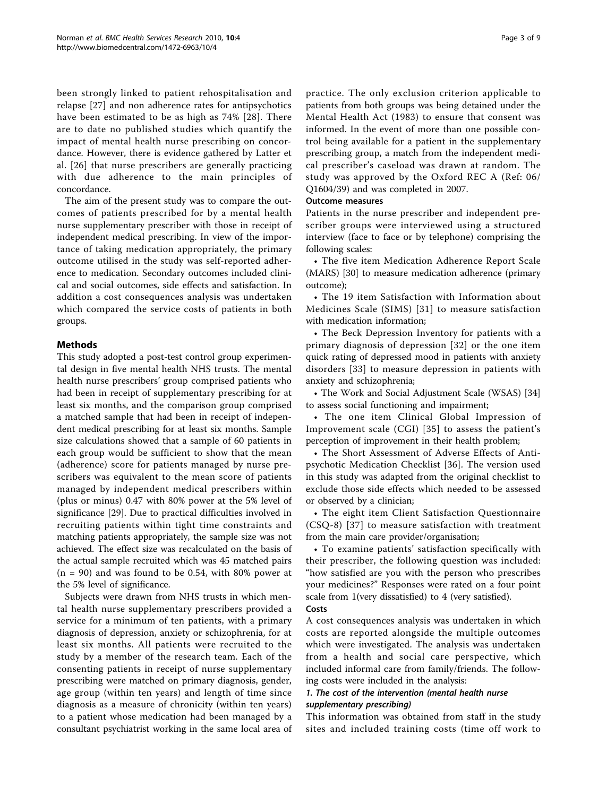been strongly linked to patient rehospitalisation and relapse [\[27](#page-8-0)] and non adherence rates for antipsychotics have been estimated to be as high as 74% [[28\]](#page-8-0). There are to date no published studies which quantify the impact of mental health nurse prescribing on concordance. However, there is evidence gathered by Latter et al. [\[26\]](#page-8-0) that nurse prescribers are generally practicing with due adherence to the main principles of concordance.

The aim of the present study was to compare the outcomes of patients prescribed for by a mental health nurse supplementary prescriber with those in receipt of independent medical prescribing. In view of the importance of taking medication appropriately, the primary outcome utilised in the study was self-reported adherence to medication. Secondary outcomes included clinical and social outcomes, side effects and satisfaction. In addition a cost consequences analysis was undertaken which compared the service costs of patients in both groups.

# Methods

This study adopted a post-test control group experimental design in five mental health NHS trusts. The mental health nurse prescribers' group comprised patients who had been in receipt of supplementary prescribing for at least six months, and the comparison group comprised a matched sample that had been in receipt of independent medical prescribing for at least six months. Sample size calculations showed that a sample of 60 patients in each group would be sufficient to show that the mean (adherence) score for patients managed by nurse prescribers was equivalent to the mean score of patients managed by independent medical prescribers within (plus or minus) 0.47 with 80% power at the 5% level of significance [[29\]](#page-8-0). Due to practical difficulties involved in recruiting patients within tight time constraints and matching patients appropriately, the sample size was not achieved. The effect size was recalculated on the basis of the actual sample recruited which was 45 matched pairs  $(n = 90)$  and was found to be 0.54, with 80% power at the 5% level of significance.

Subjects were drawn from NHS trusts in which mental health nurse supplementary prescribers provided a service for a minimum of ten patients, with a primary diagnosis of depression, anxiety or schizophrenia, for at least six months. All patients were recruited to the study by a member of the research team. Each of the consenting patients in receipt of nurse supplementary prescribing were matched on primary diagnosis, gender, age group (within ten years) and length of time since diagnosis as a measure of chronicity (within ten years) to a patient whose medication had been managed by a consultant psychiatrist working in the same local area of practice. The only exclusion criterion applicable to patients from both groups was being detained under the Mental Health Act (1983) to ensure that consent was informed. In the event of more than one possible control being available for a patient in the supplementary prescribing group, a match from the independent medical prescriber's caseload was drawn at random. The study was approved by the Oxford REC A (Ref: 06/ Q1604/39) and was completed in 2007.

## Outcome measures

Patients in the nurse prescriber and independent prescriber groups were interviewed using a structured interview (face to face or by telephone) comprising the following scales:

• The five item Medication Adherence Report Scale (MARS) [[30](#page-8-0)] to measure medication adherence (primary outcome);

• The 19 item Satisfaction with Information about Medicines Scale (SIMS) [[31\]](#page-8-0) to measure satisfaction with medication information;

• The Beck Depression Inventory for patients with a primary diagnosis of depression [[32\]](#page-8-0) or the one item quick rating of depressed mood in patients with anxiety disorders [\[33\]](#page-8-0) to measure depression in patients with anxiety and schizophrenia;

• The Work and Social Adjustment Scale (WSAS) [[34](#page-8-0)] to assess social functioning and impairment;

• The one item Clinical Global Impression of Improvement scale (CGI) [[35](#page-8-0)] to assess the patient's perception of improvement in their health problem;

• The Short Assessment of Adverse Effects of Antipsychotic Medication Checklist [[36\]](#page-8-0). The version used in this study was adapted from the original checklist to exclude those side effects which needed to be assessed or observed by a clinician;

• The eight item Client Satisfaction Questionnaire (CSQ-8) [[37](#page-8-0)] to measure satisfaction with treatment from the main care provider/organisation;

• To examine patients' satisfaction specifically with their prescriber, the following question was included: "how satisfied are you with the person who prescribes your medicines?" Responses were rated on a four point scale from 1(very dissatisfied) to 4 (very satisfied).

# Costs

A cost consequences analysis was undertaken in which costs are reported alongside the multiple outcomes which were investigated. The analysis was undertaken from a health and social care perspective, which included informal care from family/friends. The following costs were included in the analysis:

# 1. The cost of the intervention (mental health nurse supplementary prescribing)

This information was obtained from staff in the study sites and included training costs (time off work to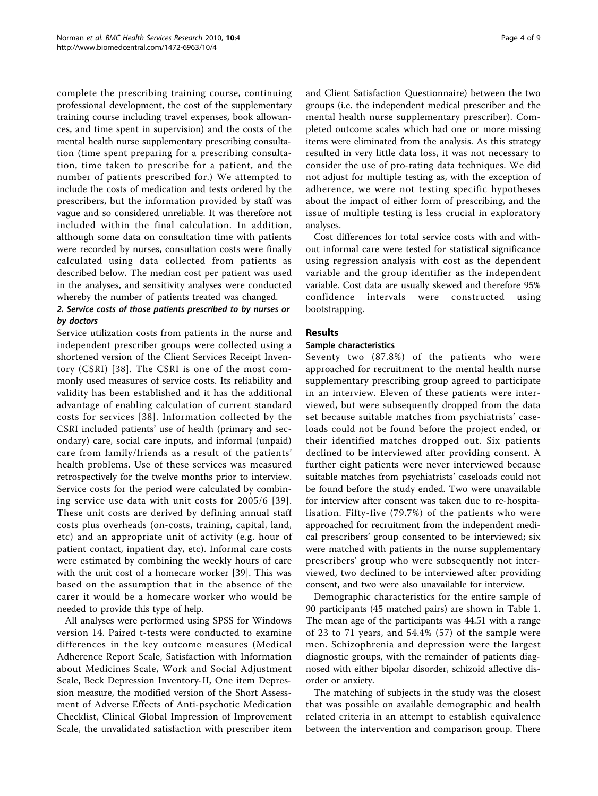complete the prescribing training course, continuing professional development, the cost of the supplementary training course including travel expenses, book allowances, and time spent in supervision) and the costs of the mental health nurse supplementary prescribing consultation (time spent preparing for a prescribing consultation, time taken to prescribe for a patient, and the number of patients prescribed for.) We attempted to include the costs of medication and tests ordered by the prescribers, but the information provided by staff was vague and so considered unreliable. It was therefore not included within the final calculation. In addition, although some data on consultation time with patients were recorded by nurses, consultation costs were finally calculated using data collected from patients as described below. The median cost per patient was used in the analyses, and sensitivity analyses were conducted whereby the number of patients treated was changed.

# 2. Service costs of those patients prescribed to by nurses or by doctors

Service utilization costs from patients in the nurse and independent prescriber groups were collected using a shortened version of the Client Services Receipt Inventory (CSRI) [[38](#page-8-0)]. The CSRI is one of the most commonly used measures of service costs. Its reliability and validity has been established and it has the additional advantage of enabling calculation of current standard costs for services [[38\]](#page-8-0). Information collected by the CSRI included patients' use of health (primary and secondary) care, social care inputs, and informal (unpaid) care from family/friends as a result of the patients' health problems. Use of these services was measured retrospectively for the twelve months prior to interview. Service costs for the period were calculated by combining service use data with unit costs for 2005/6 [[39\]](#page-8-0). These unit costs are derived by defining annual staff costs plus overheads (on-costs, training, capital, land, etc) and an appropriate unit of activity (e.g. hour of patient contact, inpatient day, etc). Informal care costs were estimated by combining the weekly hours of care with the unit cost of a homecare worker [[39\]](#page-8-0). This was based on the assumption that in the absence of the carer it would be a homecare worker who would be needed to provide this type of help.

All analyses were performed using SPSS for Windows version 14. Paired t-tests were conducted to examine differences in the key outcome measures (Medical Adherence Report Scale, Satisfaction with Information about Medicines Scale, Work and Social Adjustment Scale, Beck Depression Inventory-II, One item Depression measure, the modified version of the Short Assessment of Adverse Effects of Anti-psychotic Medication Checklist, Clinical Global Impression of Improvement Scale, the unvalidated satisfaction with prescriber item and Client Satisfaction Questionnaire) between the two groups (i.e. the independent medical prescriber and the mental health nurse supplementary prescriber). Completed outcome scales which had one or more missing items were eliminated from the analysis. As this strategy resulted in very little data loss, it was not necessary to consider the use of pro-rating data techniques. We did not adjust for multiple testing as, with the exception of adherence, we were not testing specific hypotheses about the impact of either form of prescribing, and the issue of multiple testing is less crucial in exploratory analyses.

Cost differences for total service costs with and without informal care were tested for statistical significance using regression analysis with cost as the dependent variable and the group identifier as the independent variable. Cost data are usually skewed and therefore 95% confidence intervals were constructed using bootstrapping.

# Results

#### Sample characteristics

Seventy two (87.8%) of the patients who were approached for recruitment to the mental health nurse supplementary prescribing group agreed to participate in an interview. Eleven of these patients were interviewed, but were subsequently dropped from the data set because suitable matches from psychiatrists' caseloads could not be found before the project ended, or their identified matches dropped out. Six patients declined to be interviewed after providing consent. A further eight patients were never interviewed because suitable matches from psychiatrists' caseloads could not be found before the study ended. Two were unavailable for interview after consent was taken due to re-hospitalisation. Fifty-five (79.7%) of the patients who were approached for recruitment from the independent medical prescribers' group consented to be interviewed; six were matched with patients in the nurse supplementary prescribers' group who were subsequently not interviewed, two declined to be interviewed after providing consent, and two were also unavailable for interview.

Demographic characteristics for the entire sample of 90 participants (45 matched pairs) are shown in Table [1](#page-4-0). The mean age of the participants was 44.51 with a range of 23 to 71 years, and 54.4% (57) of the sample were men. Schizophrenia and depression were the largest diagnostic groups, with the remainder of patients diagnosed with either bipolar disorder, schizoid affective disorder or anxiety.

The matching of subjects in the study was the closest that was possible on available demographic and health related criteria in an attempt to establish equivalence between the intervention and comparison group. There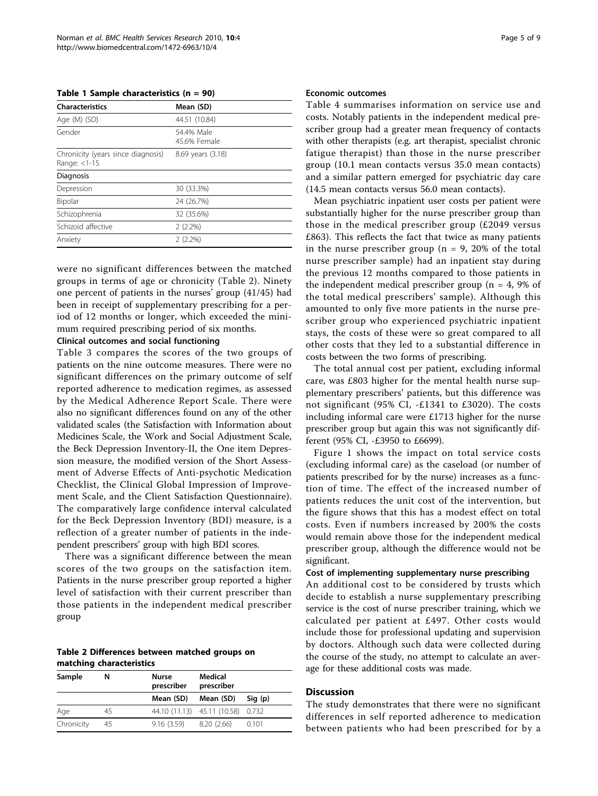<span id="page-4-0"></span>Table 1 Sample characteristics (n = 90)

| <b>Characteristics</b>                               | Mean (SD)                  |
|------------------------------------------------------|----------------------------|
| Age (M) (SD)                                         | 44.51 (10.84)              |
| Gender                                               | 54.4% Male<br>45.6% Female |
| Chronicity (years since diagnosis)<br>Range: $<1-15$ | 8.69 years (3.18)          |
| Diagnosis                                            |                            |
| Depression                                           | 30 (33.3%)                 |
| Bipolar                                              | 24 (26.7%)                 |
| Schizophrenia                                        | 32 (35.6%)                 |
| Schizoid affective                                   | $2(2.2\%)$                 |
| Anxiety                                              | $2(2.2\%)$                 |

were no significant differences between the matched groups in terms of age or chronicity (Table 2). Ninety one percent of patients in the nurses' group (41/45) had been in receipt of supplementary prescribing for a period of 12 months or longer, which exceeded the minimum required prescribing period of six months.

#### Clinical outcomes and social functioning

Table [3](#page-5-0) compares the scores of the two groups of patients on the nine outcome measures. There were no significant differences on the primary outcome of self reported adherence to medication regimes, as assessed by the Medical Adherence Report Scale. There were also no significant differences found on any of the other validated scales (the Satisfaction with Information about Medicines Scale, the Work and Social Adjustment Scale, the Beck Depression Inventory-II, the One item Depression measure, the modified version of the Short Assessment of Adverse Effects of Anti-psychotic Medication Checklist, the Clinical Global Impression of Improvement Scale, and the Client Satisfaction Questionnaire). The comparatively large confidence interval calculated for the Beck Depression Inventory (BDI) measure, is a reflection of a greater number of patients in the independent prescribers' group with high BDI scores.

There was a significant difference between the mean scores of the two groups on the satisfaction item. Patients in the nurse prescriber group reported a higher level of satisfaction with their current prescriber than those patients in the independent medical prescriber group

#### Table 2 Differences between matched groups on matching characteristics

| Sample     | N  | <b>Nurse</b><br>prescriber | Medical<br>prescriber             |        |
|------------|----|----------------------------|-----------------------------------|--------|
|            |    | Mean (SD)                  | Mean (SD)                         | Siq(p) |
| Age        | 45 |                            | 44.10 (11.13) 45.11 (10.58) 0.732 |        |
| Chronicity | 45 | $9.16(3.59)$ $8.20(2.66)$  |                                   | 0.101  |

#### Economic outcomes

Table [4](#page-6-0) summarises information on service use and costs. Notably patients in the independent medical prescriber group had a greater mean frequency of contacts with other therapists (e.g. art therapist, specialist chronic fatigue therapist) than those in the nurse prescriber group (10.1 mean contacts versus 35.0 mean contacts) and a similar pattern emerged for psychiatric day care (14.5 mean contacts versus 56.0 mean contacts).

Mean psychiatric inpatient user costs per patient were substantially higher for the nurse prescriber group than those in the medical prescriber group (£2049 versus £863). This reflects the fact that twice as many patients in the nurse prescriber group ( $n = 9$ , 20% of the total nurse prescriber sample) had an inpatient stay during the previous 12 months compared to those patients in the independent medical prescriber group ( $n = 4$ , 9% of the total medical prescribers' sample). Although this amounted to only five more patients in the nurse prescriber group who experienced psychiatric inpatient stays, the costs of these were so great compared to all other costs that they led to a substantial difference in costs between the two forms of prescribing.

The total annual cost per patient, excluding informal care, was £803 higher for the mental health nurse supplementary prescribers' patients, but this difference was not significant (95% CI, -£1341 to £3020). The costs including informal care were £1713 higher for the nurse prescriber group but again this was not significantly different (95% CI, -£3950 to £6699).

Figure [1](#page-7-0) shows the impact on total service costs (excluding informal care) as the caseload (or number of patients prescribed for by the nurse) increases as a function of time. The effect of the increased number of patients reduces the unit cost of the intervention, but the figure shows that this has a modest effect on total costs. Even if numbers increased by 200% the costs would remain above those for the independent medical prescriber group, although the difference would not be significant.

### Cost of implementing supplementary nurse prescribing

An additional cost to be considered by trusts which decide to establish a nurse supplementary prescribing service is the cost of nurse prescriber training, which we calculated per patient at £497. Other costs would include those for professional updating and supervision by doctors. Although such data were collected during the course of the study, no attempt to calculate an average for these additional costs was made.

#### Discussion

The study demonstrates that there were no significant differences in self reported adherence to medication between patients who had been prescribed for by a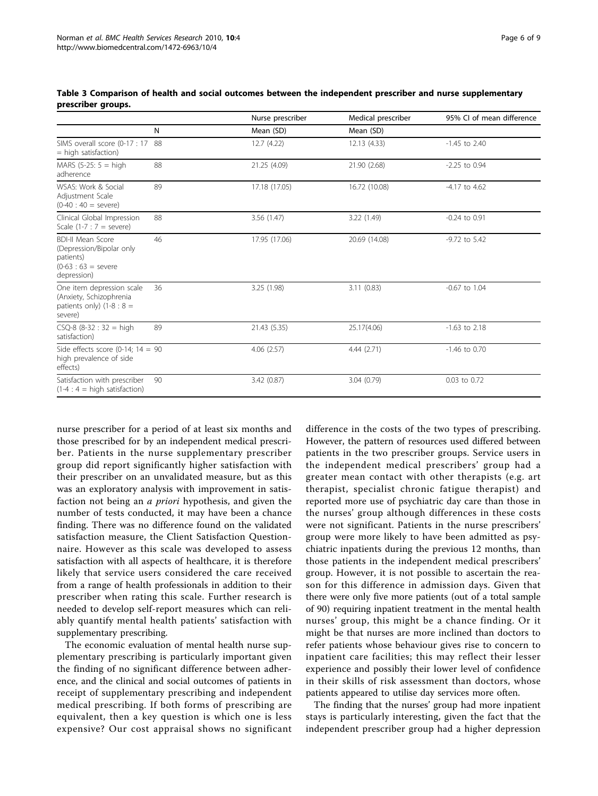|                                                                                                          |    | Nurse prescriber | Medical prescriber              | 95% CI of mean difference |  |
|----------------------------------------------------------------------------------------------------------|----|------------------|---------------------------------|---------------------------|--|
|                                                                                                          | N  | Mean (SD)        | Mean (SD)                       |                           |  |
| SIMS overall score (0-17:17 88<br>$=$ high satisfaction)                                                 |    | 12.7 (4.22)      | 12.13 (4.33)                    | $-1.45$ to 2.40           |  |
| MARS $(5-25: 5 = high)$<br>adherence                                                                     | 88 | 21.25 (4.09)     | 21.90 (2.68)                    | $-2.25$ to 0.94           |  |
| WSAS: Work & Social<br>Adjustment Scale<br>$(0-40:40 = \text{severe})$                                   | 89 | 17.18 (17.05)    | 16.72 (10.08)<br>-4.17 to 4.62  |                           |  |
| Clinical Global Impression<br>Scale $(1-7:7 = \text{severe})$                                            | 88 | 3.56(1.47)       | 3.22 (1.49)                     | $-0.24$ to $0.91$         |  |
| <b>BDI-II Mean Score</b><br>(Depression/Bipolar only<br>patients)<br>$(0-63:63)$ = severe<br>depression) | 46 | 17.95 (17.06)    | 20.69 (14.08)                   | -9.72 to 5.42             |  |
| One item depression scale<br>(Anxiety, Schizophrenia<br>patients only) $(1-8:8=$<br>severe)              | 36 | 3.25 (1.98)      | 3.11(0.83)<br>$-0.67$ to $1.04$ |                           |  |
| $CSQ-8$ (8-32 : 32 = high<br>satisfaction)                                                               | 89 | 21.43 (5.35)     | 25.17(4.06)                     | $-1.63$ to 2.18           |  |
| Side effects score (0-14; $14 = 90$<br>high prevalence of side<br>effects)                               |    | 4.06(2.57)       | $-1.46$ to 0.70<br>4.44(2.71)   |                           |  |
| Satisfaction with prescriber<br>$(1-4:4 = high satisfaction)$                                            | 90 | 3.42 (0.87)      | 3.04 (0.79)                     | 0.03 to 0.72              |  |

<span id="page-5-0"></span>Table 3 Comparison of health and social outcomes between the independent prescriber and nurse supplementary prescriber groups.

nurse prescriber for a period of at least six months and those prescribed for by an independent medical prescriber. Patients in the nurse supplementary prescriber group did report significantly higher satisfaction with their prescriber on an unvalidated measure, but as this was an exploratory analysis with improvement in satisfaction not being an a priori hypothesis, and given the number of tests conducted, it may have been a chance finding. There was no difference found on the validated satisfaction measure, the Client Satisfaction Questionnaire. However as this scale was developed to assess satisfaction with all aspects of healthcare, it is therefore likely that service users considered the care received from a range of health professionals in addition to their prescriber when rating this scale. Further research is needed to develop self-report measures which can reliably quantify mental health patients' satisfaction with supplementary prescribing.

The economic evaluation of mental health nurse supplementary prescribing is particularly important given the finding of no significant difference between adherence, and the clinical and social outcomes of patients in receipt of supplementary prescribing and independent medical prescribing. If both forms of prescribing are equivalent, then a key question is which one is less expensive? Our cost appraisal shows no significant

difference in the costs of the two types of prescribing. However, the pattern of resources used differed between patients in the two prescriber groups. Service users in the independent medical prescribers' group had a greater mean contact with other therapists (e.g. art therapist, specialist chronic fatigue therapist) and reported more use of psychiatric day care than those in the nurses' group although differences in these costs were not significant. Patients in the nurse prescribers' group were more likely to have been admitted as psychiatric inpatients during the previous 12 months, than those patients in the independent medical prescribers' group. However, it is not possible to ascertain the reason for this difference in admission days. Given that there were only five more patients (out of a total sample of 90) requiring inpatient treatment in the mental health nurses' group, this might be a chance finding. Or it might be that nurses are more inclined than doctors to refer patients whose behaviour gives rise to concern to inpatient care facilities; this may reflect their lesser experience and possibly their lower level of confidence in their skills of risk assessment than doctors, whose patients appeared to utilise day services more often.

The finding that the nurses' group had more inpatient stays is particularly interesting, given the fact that the independent prescriber group had a higher depression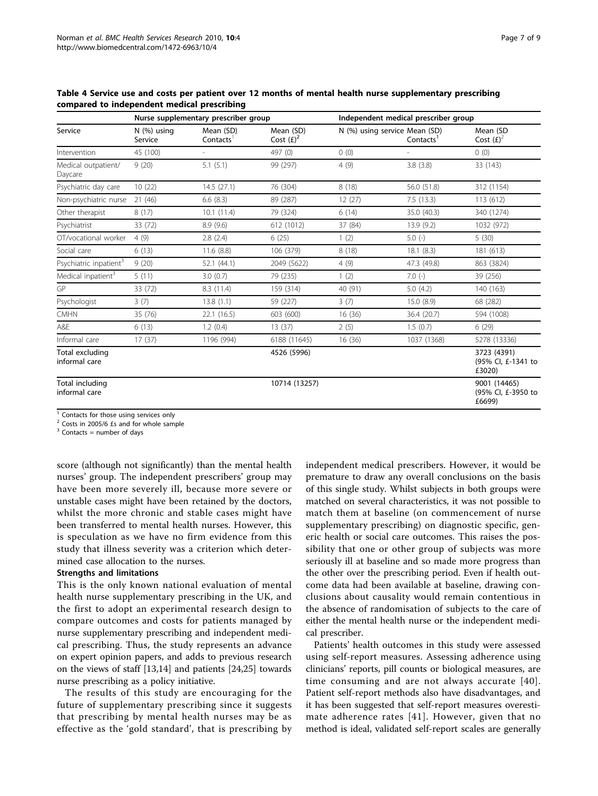| Service                            | Nurse supplementary prescriber group |                                    |                           | Independent medical prescriber group |                                                        |                                              |
|------------------------------------|--------------------------------------|------------------------------------|---------------------------|--------------------------------------|--------------------------------------------------------|----------------------------------------------|
|                                    | $N$ (%) using<br>Service             | Mean (SD)<br>Contacts <sup>1</sup> | Mean (SD)<br>Cost $(f)^2$ |                                      | N (%) using service Mean (SD)<br>Contacts <sup>1</sup> | Mean (SD<br>Cost $(E)^2$                     |
| Intervention                       | 45 (100)                             | $\overline{\phantom{a}}$           | 497 (0)                   | 0(0)                                 |                                                        | 0(0)                                         |
| Medical outpatient/<br>Daycare     | 9(20)                                | 5.1(5.1)                           | 99 (297)                  | 4(9)                                 | 3.8(3.8)                                               | 33 (143)                                     |
| Psychiatric day care               | 10(22)                               | 14.5(27.1)                         | 76 (304)                  | 8(18)                                | 56.0 (51.8)                                            | 312 (1154)                                   |
| Non-psychiatric nurse              | 21(46)                               | 6.6(8.3)                           | 89 (287)                  | 12(27)                               | 7.5(13.3)                                              | 113 (612)                                    |
| Other therapist                    | 8(17)                                | 10.1(11.4)                         | 79 (324)                  | 6(14)                                | 35.0 (40.3)                                            | 340 (1274)                                   |
| Psychiatrist                       | 33 (72)                              | 8.9(9.6)                           | 612 (1012)                | 37 (84)                              | 13.9(9.2)                                              | 1032 (972)                                   |
| OT/vocational worker               | 4(9)                                 | 2.8(2.4)                           | 6(25)                     | 1(2)                                 | $5.0(-)$                                               | 5(30)                                        |
| Social care                        | 6(13)                                | 11.6(8.8)                          | 106 (379)                 | 8(18)                                | 18.1(8.3)                                              | 181 (613)                                    |
| Psychiatric inpatient <sup>3</sup> | 9(20)                                | 52.1(44.1)                         | 2049 (5622)               | 4(9)                                 | 47.3 (49.8)                                            | 863 (3824)                                   |
| Medical inpatient <sup>3</sup>     | 5(11)                                | 3.0(0.7)                           | 79 (235)                  | 1(2)                                 | $7.0(-)$                                               | 39 (256)                                     |
| GP                                 | 33 (72)                              | 8.3 (11.4)                         | 159 (314)                 | 40 (91)                              | 5.0(4.2)                                               | 140 (163)                                    |
| Psychologist                       | 3(7)                                 | 13.8(1.1)                          | 59 (227)                  | 3(7)                                 | 15.0(8.9)                                              | 68 (282)                                     |
| <b>CMHN</b>                        | 35 (76)                              | 22.1(16.5)                         | 603 (600)                 | 16(36)                               | 36.4 (20.7)                                            | 594 (1008)                                   |
| A&E                                | 6(13)                                | 1.2(0.4)                           | 13(37)                    | 2(5)                                 | 1.5(0.7)                                               | 6(29)                                        |
| Informal care                      | 17(37)                               | 1196 (994)                         | 6188 (11645)              | 16(36)                               | 1037 (1368)                                            | 5278 (13336)                                 |
| Total excluding<br>informal care   |                                      |                                    | 4526 (5996)               |                                      |                                                        | 3723 (4391)<br>(95% Cl, £-1341 to<br>£3020)  |
| Total including<br>informal care   |                                      |                                    | 10714 (13257)             |                                      |                                                        | 9001 (14465)<br>(95% Cl, £-3950 to<br>£6699) |

<span id="page-6-0"></span>Table 4 Service use and costs per patient over 12 months of mental health nurse supplementary prescribing compared to independent medical prescribing

<sup>1</sup> Contacts for those using services only

<sup>2</sup> Costs in 2005/6 £s and for whole sample

 $3$  Contacts = number of days

score (although not significantly) than the mental health nurses' group. The independent prescribers' group may have been more severely ill, because more severe or unstable cases might have been retained by the doctors, whilst the more chronic and stable cases might have been transferred to mental health nurses. However, this is speculation as we have no firm evidence from this study that illness severity was a criterion which determined case allocation to the nurses.

## Strengths and limitations

This is the only known national evaluation of mental health nurse supplementary prescribing in the UK, and the first to adopt an experimental research design to compare outcomes and costs for patients managed by nurse supplementary prescribing and independent medical prescribing. Thus, the study represents an advance on expert opinion papers, and adds to previous research on the views of staff [\[13,14\]](#page-8-0) and patients [[24,25](#page-8-0)] towards nurse prescribing as a policy initiative.

The results of this study are encouraging for the future of supplementary prescribing since it suggests that prescribing by mental health nurses may be as effective as the 'gold standard', that is prescribing by independent medical prescribers. However, it would be premature to draw any overall conclusions on the basis of this single study. Whilst subjects in both groups were matched on several characteristics, it was not possible to match them at baseline (on commencement of nurse supplementary prescribing) on diagnostic specific, generic health or social care outcomes. This raises the possibility that one or other group of subjects was more seriously ill at baseline and so made more progress than the other over the prescribing period. Even if health outcome data had been available at baseline, drawing conclusions about causality would remain contentious in the absence of randomisation of subjects to the care of either the mental health nurse or the independent medical prescriber.

Patients' health outcomes in this study were assessed using self-report measures. Assessing adherence using clinicians' reports, pill counts or biological measures, are time consuming and are not always accurate [[40\]](#page-8-0). Patient self-report methods also have disadvantages, and it has been suggested that self-report measures overestimate adherence rates [[41\]](#page-8-0). However, given that no method is ideal, validated self-report scales are generally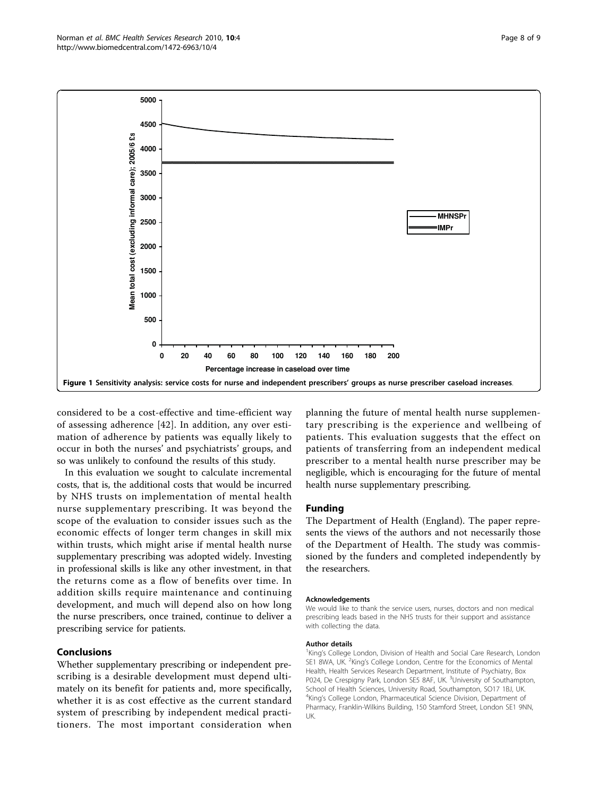<span id="page-7-0"></span>

considered to be a cost-effective and time-efficient way of assessing adherence [[42](#page-8-0)]. In addition, any over estimation of adherence by patients was equally likely to occur in both the nurses' and psychiatrists' groups, and so was unlikely to confound the results of this study.

In this evaluation we sought to calculate incremental costs, that is, the additional costs that would be incurred by NHS trusts on implementation of mental health nurse supplementary prescribing. It was beyond the scope of the evaluation to consider issues such as the economic effects of longer term changes in skill mix within trusts, which might arise if mental health nurse supplementary prescribing was adopted widely. Investing in professional skills is like any other investment, in that the returns come as a flow of benefits over time. In addition skills require maintenance and continuing development, and much will depend also on how long the nurse prescribers, once trained, continue to deliver a prescribing service for patients.

## Conclusions

Whether supplementary prescribing or independent prescribing is a desirable development must depend ultimately on its benefit for patients and, more specifically, whether it is as cost effective as the current standard system of prescribing by independent medical practitioners. The most important consideration when

planning the future of mental health nurse supplementary prescribing is the experience and wellbeing of patients. This evaluation suggests that the effect on patients of transferring from an independent medical prescriber to a mental health nurse prescriber may be negligible, which is encouraging for the future of mental health nurse supplementary prescribing.

## Funding

The Department of Health (England). The paper represents the views of the authors and not necessarily those of the Department of Health. The study was commissioned by the funders and completed independently by the researchers.

#### Acknowledgements

We would like to thank the service users, nurses, doctors and non medical prescribing leads based in the NHS trusts for their support and assistance with collecting the data.

#### Author details

<sup>1</sup>King's College London, Division of Health and Social Care Research, London SE1 8WA, UK. <sup>2</sup>King's College London, Centre for the Economics of Mental Health, Health Services Research Department, Institute of Psychiatry, Box P024, De Crespigny Park, London SE5 8AF, UK. <sup>3</sup>University of Southampton, School of Health Sciences, University Road, Southampton, SO17 1BJ, UK. 4 King's College London, Pharmaceutical Science Division, Department of Pharmacy, Franklin-Wilkins Building, 150 Stamford Street, London SE1 9NN, UK.